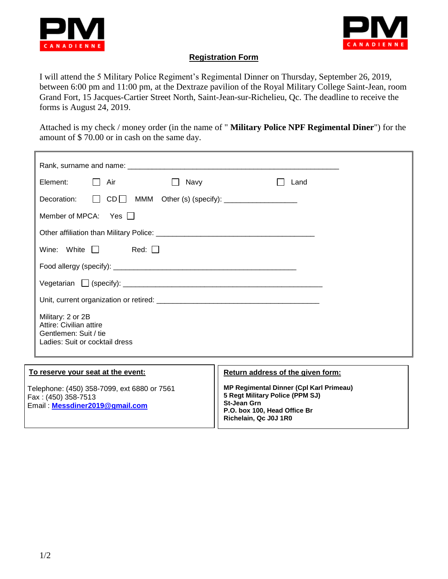



## **Registration Form**

I will attend the 5 Military Police Regiment's Regimental Dinner on Thursday, September 26, 2019, between 6:00 pm and 11:00 pm, at the Dextraze pavilion of the Royal Military College Saint-Jean, room Grand Fort, 15 Jacques-Cartier Street North, Saint-Jean-sur-Richelieu, Qc. The deadline to receive the forms is August 24, 2019.

Attached is my check / money order (in the name of " **Military Police NPF Regimental Diner**") for the amount of \$ 70.00 or in cash on the same day.

|  | Element:                   | $\Box$ Air                                                                         | Navy<br>$\mathbf{1}$ | Land                                                                                                                                    |  |
|--|----------------------------|------------------------------------------------------------------------------------|----------------------|-----------------------------------------------------------------------------------------------------------------------------------------|--|
|  |                            |                                                                                    |                      | Decoration: DCD MMM Other (s) (specify): _________________                                                                              |  |
|  | Member of MPCA: Yes $\Box$ |                                                                                    |                      |                                                                                                                                         |  |
|  |                            |                                                                                    |                      |                                                                                                                                         |  |
|  |                            | Wine: White $\Box$ Red: $\Box$                                                     |                      |                                                                                                                                         |  |
|  |                            |                                                                                    |                      |                                                                                                                                         |  |
|  |                            |                                                                                    |                      |                                                                                                                                         |  |
|  |                            |                                                                                    |                      |                                                                                                                                         |  |
|  | Military: 2 or 2B          | Attire: Civilian attire<br>Gentlemen: Suit / tie<br>Ladies: Suit or cocktail dress |                      |                                                                                                                                         |  |
|  |                            | To reserve your seat at the event:                                                 |                      | Return address of the given form:                                                                                                       |  |
|  | Fax: (450) 358-7513        | Telephone: (450) 358-7099, ext 6880 or 7561<br>Email: Messdiner2019@gmail.com      |                      | <b>MP Regimental Dinner (Cpl Karl Primeau)</b><br>5 Regt Military Police (PPM SJ)<br><b>St-Jean Grn</b><br>P.O. box 100, Head Office Br |  |

**Richelain, Qc J0J 1R0**